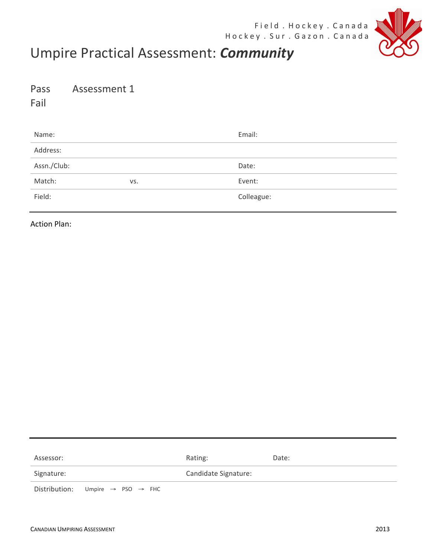

## Umpire Practical Assessment: **Community**

Pass Assessment 1

Fail 

| Name:       |     | Email:     |
|-------------|-----|------------|
| Address:    |     |            |
| Assn./Club: |     | Date:      |
| Match:      | VS. | Event:     |
| Field:      |     | Colleague: |

**Action Plan:** 

| Assessor:  |                                                          | Rating:              | Date: |
|------------|----------------------------------------------------------|----------------------|-------|
| Signature: |                                                          | Candidate Signature: |       |
|            | Distribution: Umpire $\rightarrow$ PSO $\rightarrow$ FHC |                      |       |